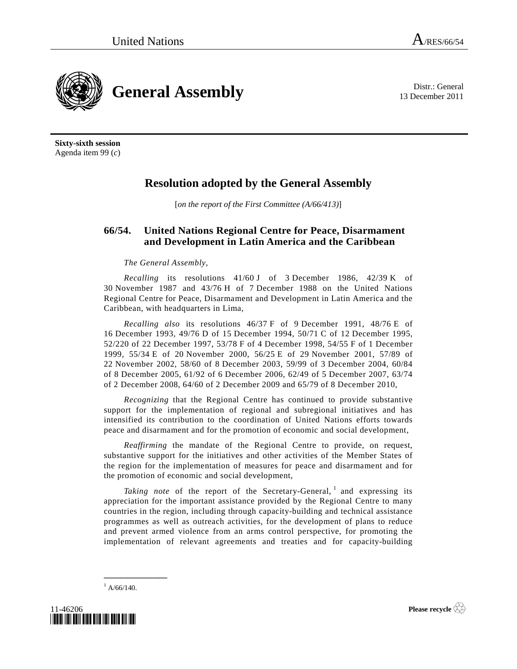13 December 2011



**Sixty-sixth session**  Agenda item 99 (*c*)

## **Resolution adopted by the General Assembly**

[*on the report of the First Committee (A/66/413)*]

## **66/54. United Nations Regional Centre for Peace, Disarmament and Development in Latin America and the Caribbean**

## *The General Assembly*,

*Recalling* its resolutions 41/60 J of 3 December 1986, 42/39 K of 30 November 1987 and 43/76 H of 7 December 1988 on the United Nations Regional Centre for Peace, Disarmament and Development in Latin America and the Caribbean, with headquarters in Lima,

*Recalling also* its resolutions 46/37 F of 9 December 1991, 48/76 E of 16 December 1993, 49/76 D of 15 December 1994, 50/71 C of 12 December 1995, 52/220 of 22 December 1997, 53/78 F of 4 December 1998, 54/55 F of 1 December 1999, 55/34 E of 20 November 2000, 56/25 E of 29 November 2001, 57/89 of 22 November 2002, 58/60 of 8 December 2003, 59/99 of 3 December 2004, 60/84 of 8 December 2005, 61/92 of 6 December 2006, 62/49 of 5 December 2007, 63/74 of 2 December 2008, 64/60 of 2 December 2009 and 65/79 of 8 December 2010,

*Recognizing* that the Regional Centre has continued to provide substantive support for the implementation of regional and subregional initiatives and has intensified its contribution to the coordination of United Nations efforts towards peace and disarmament and for the promotion of economic and social development,

*Reaffirming* the mandate of the Regional Centre to provide, on request, substantive support for the initiatives and other activities of the Member States of the region for the implementation of measures for peace and disarmament and for the promotion of economic and social development,

Taking note of the report of the Secretary-General, <sup>1</sup> and expressing its appreciation for the important assistance provided by the Regional Centre to many countries in the region, including through capacity-building and technical assistance programmes as well as outreach activities, for the development of plans to reduce and prevent armed violence from an arms control perspective, for promoting the implementation of relevant agreements and treaties and for capacity-building

 $^{1}$  A/66/140.

**\_\_\_\_\_\_\_\_\_\_\_\_\_\_\_** 



**Please recycle**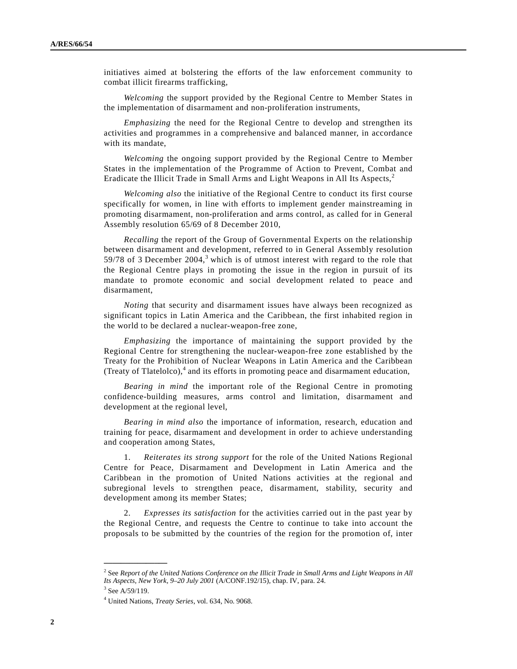initiatives aimed at bolstering the efforts of the law enforcement community to combat illicit firearms trafficking,

*Welcoming* the support provided by the Regional Centre to Member States in the implementation of disarmament and non-proliferation instruments,

*Emphasizing* the need for the Regional Centre to develop and strengthen its activities and programmes in a comprehensive and balanced manner, in accordance with its mandate,

*Welcoming* the ongoing support provided by the Regional Centre to Member States in the implementation of the Programme of Action to Prevent, Combat and Eradicate the Illicit Trade in Small Arms and Light Weapons in All Its Aspects,<sup>2</sup>

*Welcoming also* the initiative of the Regional Centre to conduct its first course specifically for women, in line with efforts to implement gender mainstreaming in promoting disarmament, non-proliferation and arms control, as called for in General Assembly resolution 65/69 of 8 December 2010,

*Recalling* the report of the Group of Governmental Experts on the relationship between disarmament and development, referred to in General Assembly resolution 59/78 of 3 December  $2004$ ,<sup>3</sup> which is of utmost interest with regard to the role that the Regional Centre plays in promoting the issue in the region in pursuit of its mandate to promote economic and social development related to peace and disarmament,

*Noting* that security and disarmament issues have always been recognized as significant topics in Latin America and the Caribbean, the first inhabited region in the world to be declared a nuclear-weapon-free zone,

*Emphasizing* the importance of maintaining the support provided by the Regional Centre for strengthening the nuclear-weapon-free zone established by the Treaty for the Prohibition of Nuclear Weapons in Latin America and the Caribbean (Treaty of Tlatelolco), $4$  and its efforts in promoting peace and disarmament education,

*Bearing in mind* the important role of the Regional Centre in promoting confidence-building measures, arms control and limitation, disarmament and development at the regional level,

*Bearing in mind also* the importance of information, research, education and training for peace, disarmament and development in order to achieve understanding and cooperation among States,

 1. *Reiterates its strong support* for the role of the United Nations Regional Centre for Peace, Disarmament and Development in Latin America and the Caribbean in the promotion of United Nations activities at the regional and subregional levels to strengthen peace, disarmament, stability, security and development among its member States;

 2. *Expresses its satisfaction* for the activities carried out in the past year by the Regional Centre, and requests the Centre to continue to take into account the proposals to be submitted by the countries of the region for the promotion of, inter

**\_\_\_\_\_\_\_\_\_\_\_\_\_\_\_** 

<sup>&</sup>lt;sup>2</sup> See *Report of the United Nations Conference on the Illicit Trade in Small Arms and Light Weapons in All Its Aspects, New York, 9–20 July 2001* (A/CONF.192/15), chap. IV, para. 24.

 $3$  See A/59/119.

<sup>4</sup> United Nations, *Treaty Series*, vol. 634, No. 9068.